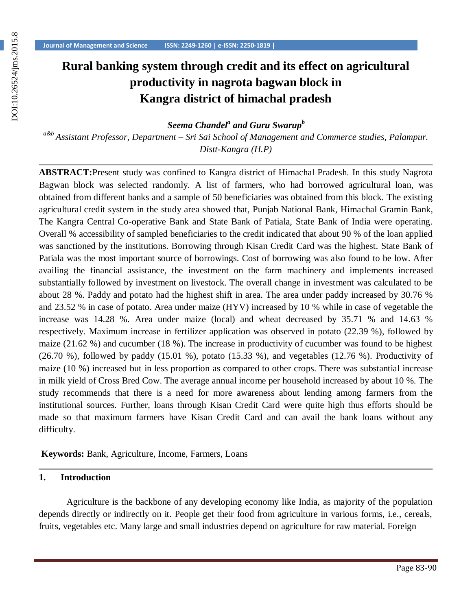# **Rural banking system through credit and its effect on agricultural productivity in nagrota bagwan block in Kangra district of himachal pradesh**

*Seema Chandel<sup>a</sup> and Guru Swarup<sup>b</sup>*

*a&b Assistant Professor, Department – Sri Sai School of Management and Commerce studies, Palampur. Distt-Kangra (H.P)*

**ABSTRACT:**Present study was confined to Kangra district of Himachal Pradesh. In this study Nagrota Bagwan block was selected randomly. A list of farmers, who had borrowed agricultural loan, was obtained from different banks and a sample of 50 beneficiaries was obtained from this block. The existing agricultural credit system in the study area showed that, Punjab National Bank, Himachal Gramin Bank, The Kangra Central Co-operative Bank and State Bank of Patiala, State Bank of India were operating. Overall % accessibility of sampled beneficiaries to the credit indicated that about 90 % of the loan applied was sanctioned by the institutions. Borrowing through Kisan Credit Card was the highest. State Bank of Patiala was the most important source of borrowings. Cost of borrowing was also found to be low. After availing the financial assistance, the investment on the farm machinery and implements increased substantially followed by investment on livestock. The overall change in investment was calculated to be about 28 %. Paddy and potato had the highest shift in area. The area under paddy increased by 30.76 % and 23.52 % in case of potato. Area under maize (HYV) increased by 10 % while in case of vegetable the increase was 14.28 %. Area under maize (local) and wheat decreased by 35.71 % and 14.63 % respectively. Maximum increase in fertilizer application was observed in potato (22.39 %), followed by maize (21.62 %) and cucumber (18 %). The increase in productivity of cucumber was found to be highest  $(26.70 \%)$ , followed by paddy  $(15.01 \%)$ , potato  $(15.33 \%)$ , and vegetables  $(12.76 \%)$ . Productivity of maize (10 %) increased but in less proportion as compared to other crops. There was substantial increase in milk yield of Cross Bred Cow. The average annual income per household increased by about 10 %. The study recommends that there is a need for more awareness about lending among farmers from the institutional sources. Further, loans through Kisan Credit Card were quite high thus efforts should be made so that maximum farmers have Kisan Credit Card and can avail the bank loans without any difficulty.

**Keywords:** Bank, Agriculture, Income, Farmers, Loans

#### **1. Introduction**

Agriculture is the backbone of any developing economy like India, as majority of the population depends directly or indirectly on it. People get their food from agriculture in various forms, i.e., cereals, fruits, vegetables etc. Many large and small industries depend on agriculture for raw material. Foreign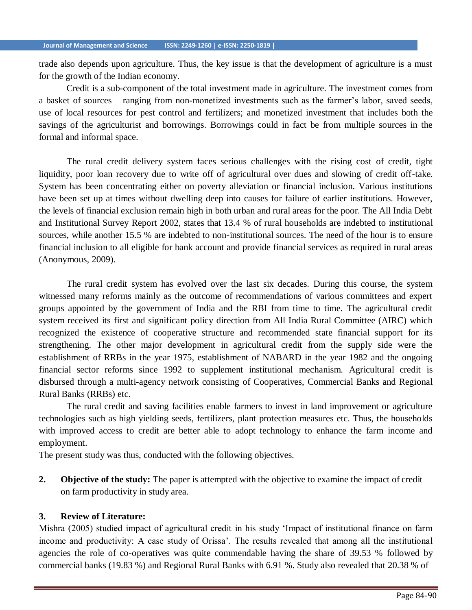trade also depends upon agriculture. Thus, the key issue is that the development of agriculture is a must for the growth of the Indian economy.

Credit is a sub-component of the total investment made in agriculture. The investment comes from a basket of sources – ranging from non-monetized investments such as the farmer's labor, saved seeds, use of local resources for pest control and fertilizers; and monetized investment that includes both the savings of the agriculturist and borrowings. Borrowings could in fact be from multiple sources in the formal and informal space.

The rural credit delivery system faces serious challenges with the rising cost of credit, tight liquidity, poor loan recovery due to write off of agricultural over dues and slowing of credit off-take. System has been concentrating either on poverty alleviation or financial inclusion. Various institutions have been set up at times without dwelling deep into causes for failure of earlier institutions. However, the levels of financial exclusion remain high in both urban and rural areas for the poor. The All India Debt and Institutional Survey Report 2002, states that 13.4 % of rural households are indebted to institutional sources, while another 15.5 % are indebted to non-institutional sources. The need of the hour is to ensure financial inclusion to all eligible for bank account and provide financial services as required in rural areas (Anonymous, 2009).

The rural credit system has evolved over the last six decades. During this course, the system witnessed many reforms mainly as the outcome of recommendations of various committees and expert groups appointed by the government of India and the RBI from time to time. The agricultural credit system received its first and significant policy direction from All India Rural Committee (AIRC) which recognized the existence of cooperative structure and recommended state financial support for its strengthening. The other major development in agricultural credit from the supply side were the establishment of RRBs in the year 1975, establishment of NABARD in the year 1982 and the ongoing financial sector reforms since 1992 to supplement institutional mechanism. Agricultural credit is disbursed through a multi-agency network consisting of Cooperatives, Commercial Banks and Regional Rural Banks (RRBs) etc.

The rural credit and saving facilities enable farmers to invest in land improvement or agriculture technologies such as high yielding seeds, fertilizers, plant protection measures etc. Thus, the households with improved access to credit are better able to adopt technology to enhance the farm income and employment.

The present study was thus, conducted with the following objectives.

**2. Objective of the study:** The paper is attempted with the objective to examine the impact of credit on farm productivity in study area.

#### **3. Review of Literature:**

Mishra (2005) studied impact of agricultural credit in his study 'Impact of institutional finance on farm income and productivity: A case study of Orissa'. The results revealed that among all the institutional agencies the role of co-operatives was quite commendable having the share of 39.53 % followed by commercial banks (19.83 %) and Regional Rural Banks with 6.91 %. Study also revealed that 20.38 % of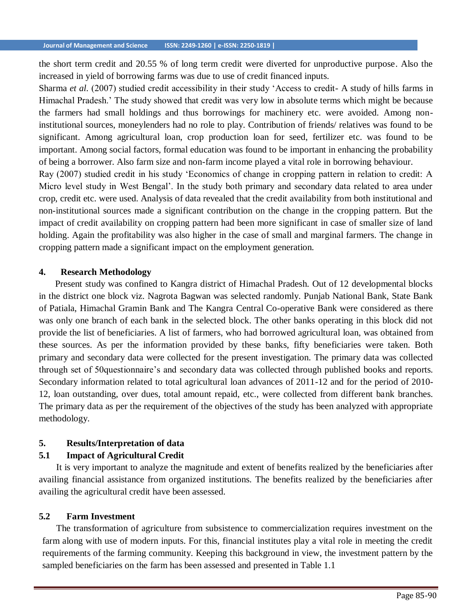the short term credit and 20.55 % of long term credit were diverted for unproductive purpose. Also the increased in yield of borrowing farms was due to use of credit financed inputs.

Sharma *et al.* (2007) studied credit accessibility in their study 'Access to credit- A study of hills farms in Himachal Pradesh.' The study showed that credit was very low in absolute terms which might be because the farmers had small holdings and thus borrowings for machinery etc. were avoided. Among noninstitutional sources, moneylenders had no role to play. Contribution of friends/ relatives was found to be significant. Among agricultural loan, crop production loan for seed, fertilizer etc. was found to be important. Among social factors, formal education was found to be important in enhancing the probability of being a borrower. Also farm size and non-farm income played a vital role in borrowing behaviour.

Ray (2007) studied credit in his study 'Economics of change in cropping pattern in relation to credit: A Micro level study in West Bengal'. In the study both primary and secondary data related to area under crop, credit etc. were used. Analysis of data revealed that the credit availability from both institutional and non-institutional sources made a significant contribution on the change in the cropping pattern. But the impact of credit availability on cropping pattern had been more significant in case of smaller size of land holding. Again the profitability was also higher in the case of small and marginal farmers. The change in cropping pattern made a significant impact on the employment generation.

#### **4. Research Methodology**

Present study was confined to Kangra district of Himachal Pradesh. Out of 12 developmental blocks in the district one block viz. Nagrota Bagwan was selected randomly. Punjab National Bank, State Bank of Patiala, Himachal Gramin Bank and The Kangra Central Co-operative Bank were considered as there was only one branch of each bank in the selected block. The other banks operating in this block did not provide the list of beneficiaries. A list of farmers, who had borrowed agricultural loan, was obtained from these sources. As per the information provided by these banks, fifty beneficiaries were taken. Both primary and secondary data were collected for the present investigation. The primary data was collected through set of 50questionnaire's and secondary data was collected through published books and reports. Secondary information related to total agricultural loan advances of 2011-12 and for the period of 2010- 12, loan outstanding, over dues, total amount repaid, etc., were collected from different bank branches. The primary data as per the requirement of the objectives of the study has been analyzed with appropriate methodology.

#### **5. Results/Interpretation of data**

#### **5.1 Impact of Agricultural Credit**

It is very important to analyze the magnitude and extent of benefits realized by the beneficiaries after availing financial assistance from organized institutions. The benefits realized by the beneficiaries after availing the agricultural credit have been assessed.

#### **5.2 Farm Investment**

The transformation of agriculture from subsistence to commercialization requires investment on the farm along with use of modern inputs. For this, financial institutes play a vital role in meeting the credit requirements of the farming community. Keeping this background in view, the investment pattern by the sampled beneficiaries on the farm has been assessed and presented in Table 1.1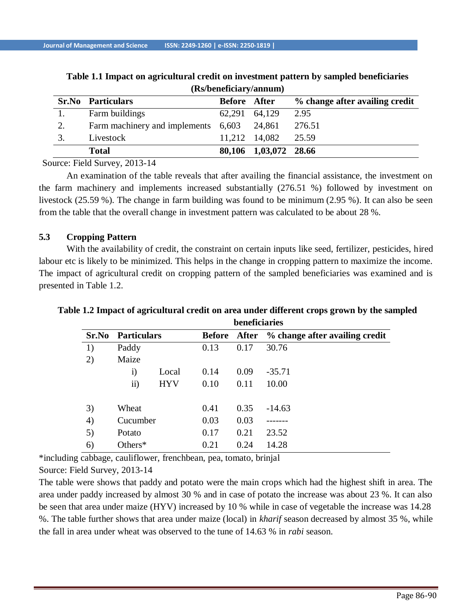|    | $(150)$ beneficial $\frac{1}{2}$ annually |              |                       |                                |  |  |  |  |  |
|----|-------------------------------------------|--------------|-----------------------|--------------------------------|--|--|--|--|--|
|    | <b>Sr.No</b> Particulars                  | Before After |                       | % change after availing credit |  |  |  |  |  |
|    | Farm buildings                            |              | 62,291 64,129         | 2.95                           |  |  |  |  |  |
| 2. | Farm machinery and implements 6,603       |              | 24,861                | 276.51                         |  |  |  |  |  |
|    | Livestock                                 |              | 11,212 14,082         | 25.59                          |  |  |  |  |  |
|    | <b>Total</b>                              |              | 80,106 1,03,072 28.66 |                                |  |  |  |  |  |

**Table 1.1 Impact on agricultural credit on investment pattern by sampled beneficiaries (Rs/beneficiary/annum)**

Source: Field Survey, 2013-14

An examination of the table reveals that after availing the financial assistance, the investment on the farm machinery and implements increased substantially (276.51 %) followed by investment on livestock (25.59 %). The change in farm building was found to be minimum (2.95 %). It can also be seen from the table that the overall change in investment pattern was calculated to be about 28 %.

## **5.3 Cropping Pattern**

With the availability of credit, the constraint on certain inputs like seed, fertilizer, pesticides, hired labour etc is likely to be minimized. This helps in the change in cropping pattern to maximize the income. The impact of agricultural credit on cropping pattern of the sampled beneficiaries was examined and is presented in Table 1.2.

|       |                    |            |               | beneficiaries |                                |  |  |
|-------|--------------------|------------|---------------|---------------|--------------------------------|--|--|
| Sr.No | <b>Particulars</b> |            | <b>Before</b> | After         | % change after availing credit |  |  |
| 1)    | Paddy              |            | 0.13          | 0.17          | 30.76                          |  |  |
| 2)    | Maize              |            |               |               |                                |  |  |
|       | $\mathbf{i}$       | Local      | 0.14          | 0.09          | $-35.71$                       |  |  |
|       | $\mathbf{ii}$      | <b>HYV</b> | 0.10          | 0.11          | 10.00                          |  |  |
| 3)    | Wheat              |            | 0.41          | 0.35          | $-14.63$                       |  |  |
| 4)    | Cucumber           |            | 0.03          | 0.03          |                                |  |  |
| 5)    | Potato             |            | 0.17          | 0.21          | 23.52                          |  |  |
| 6)    | Others*            |            | 0.21          | 0.24          | 14.28                          |  |  |

**Table 1.2 Impact of agricultural credit on area under different crops grown by the sampled**

\*including cabbage, cauliflower, frenchbean, pea, tomato, brinjal

Source: Field Survey, 2013-14

The table were shows that paddy and potato were the main crops which had the highest shift in area. The area under paddy increased by almost 30 % and in case of potato the increase was about 23 %. It can also be seen that area under maize (HYV) increased by 10 % while in case of vegetable the increase was 14.28 %. The table further shows that area under maize (local) in *kharif* season decreased by almost 35 %, while the fall in area under wheat was observed to the tune of 14.63 % in *rabi* season.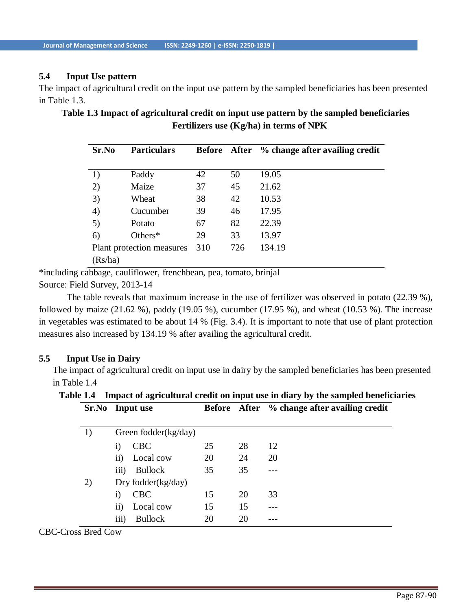## **5.4 Input Use pattern**

The impact of agricultural credit on the input use pattern by the sampled beneficiaries has been presented in Table 1.3.

| Sr.No                     | <b>Particulars</b> |     |     | Before After % change after availing credit |
|---------------------------|--------------------|-----|-----|---------------------------------------------|
| 1)                        | Paddy              | 42  | 50  | 19.05                                       |
| 2)                        | Maize              | 37  | 45  | 21.62                                       |
| 3)                        | Wheat              | 38  | 42  | 10.53                                       |
| 4)                        | Cucumber           | 39  | 46  | 17.95                                       |
| 5)                        | Potato             | 67  | 82  | 22.39                                       |
| 6)                        | Others $*$         | 29  | 33  | 13.97                                       |
| Plant protection measures |                    | 310 | 726 | 134.19                                      |
| (Rs/ha)                   |                    |     |     |                                             |

**Table 1.3 Impact of agricultural credit on input use pattern by the sampled beneficiaries Fertilizers use (Kg/ha) in terms of NPK**

\*including cabbage, cauliflower, frenchbean, pea, tomato, brinjal Source: Field Survey, 2013-14

The table reveals that maximum increase in the use of fertilizer was observed in potato (22.39 %), followed by maize (21.62 %), paddy (19.05 %), cucumber (17.95 %), and wheat (10.53 %). The increase in vegetables was estimated to be about 14 % (Fig. 3.4). It is important to note that use of plant protection measures also increased by 134.19 % after availing the agricultural credit.

#### **5.5 Input Use in Dairy**

The impact of agricultural credit on input use in dairy by the sampled beneficiaries has been presented in Table 1.4

**Table 1.4 Impact of agricultural credit on input use in diary by the sampled beneficiaries**

|    | Sr.No Input use |                       |    |    | Before After % change after availing credit |  |
|----|-----------------|-----------------------|----|----|---------------------------------------------|--|
| 1) |                 | Green fodder(kg/day)  |    |    |                                             |  |
|    | 1)              | <b>CBC</b>            | 25 | 28 | 12                                          |  |
|    | $\rm ii)$       | Local cow             | 20 | 24 | 20                                          |  |
|    | iii)            | Bullock               | 35 | 35 |                                             |  |
| 2) |                 | Dry fodder $(kg/day)$ |    |    |                                             |  |
|    | $\bf{1)}$       | <b>CBC</b>            | 15 | 20 | 33                                          |  |
|    | $\overline{11}$ | Local cow             | 15 | 15 |                                             |  |
|    | iii)            | <b>Bullock</b>        | 20 | 20 |                                             |  |

CBC-Cross Bred Cow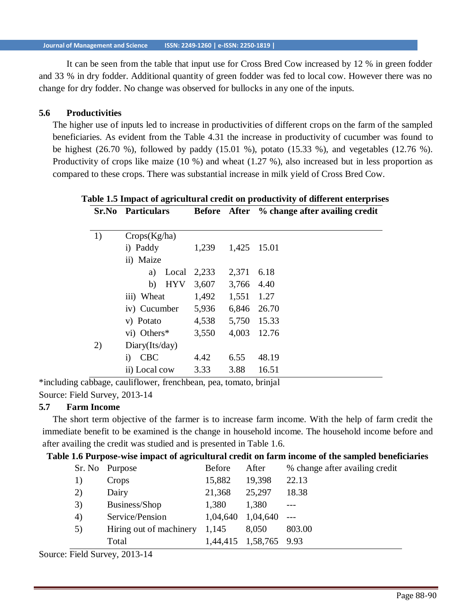It can be seen from the table that input use for Cross Bred Cow increased by 12 % in green fodder and 33 % in dry fodder. Additional quantity of green fodder was fed to local cow. However there was no change for dry fodder. No change was observed for bullocks in any one of the inputs.

#### **5.6 Productivities**

The higher use of inputs led to increase in productivities of different crops on the farm of the sampled beneficiaries. As evident from the Table 4.31 the increase in productivity of cucumber was found to be highest (26.70 %), followed by paddy (15.01 %), potato (15.33 %), and vegetables (12.76 %). Productivity of crops like maize (10 %) and wheat (1.27 %), also increased but in less proportion as compared to these crops. There was substantial increase in milk yield of Cross Bred Cow.

|    | Sr.No Particulars              |                      |      | Before After % change after availing credit |  |  |
|----|--------------------------------|----------------------|------|---------------------------------------------|--|--|
|    |                                |                      |      |                                             |  |  |
| 1) | Crops(Kg/ha)                   |                      |      |                                             |  |  |
|    | i) Paddy                       | 1,239 1,425 15.01    |      |                                             |  |  |
|    | ii) Maize                      |                      |      |                                             |  |  |
|    | a) Local 2,233 2,371 6.18      |                      |      |                                             |  |  |
|    | b)                             | HYV 3,607 3,766 4.40 |      |                                             |  |  |
|    | iii) Wheat                     | 1,492 1,551 1.27     |      |                                             |  |  |
|    | iv) Cucumber 5,936 6,846 26.70 |                      |      |                                             |  |  |
|    | v) Potato                      | 4,538 5,750 15.33    |      |                                             |  |  |
|    | vi) Others $*$                 | 3,550                |      | 4,003 12.76                                 |  |  |
| 2) | Diary(Its/day)                 |                      |      |                                             |  |  |
|    | i) CBC                         | 4.42                 | 6.55 | 48.19                                       |  |  |
|    | ii) Local cow                  | 3.33                 | 3.88 | 16.51                                       |  |  |

# **Table 1.5 Impact of agricultural credit on productivity of different enterprises**

\*including cabbage, cauliflower, frenchbean, pea, tomato, brinjal Source: Field Survey, 2013-14

# **5.7 Farm Income**

The short term objective of the farmer is to increase farm income. With the help of farm credit the immediate benefit to be examined is the change in household income. The household income before and after availing the credit was studied and is presented in Table 1.6.

#### **Table 1.6 Purpose-wise impact of agricultural credit on farm income of the sampled beneficiaries**

|    | Sr. No Purpose                  | <b>Before</b> | After                  | % change after availing credit |
|----|---------------------------------|---------------|------------------------|--------------------------------|
|    | Crops                           | 15,882        | 19,398                 | 22.13                          |
| 2) | Dairy                           | 21,368        | 25,297                 | 18.38                          |
| 3) | Business/Shop                   | 1,380         | 1,380                  |                                |
| 4) | Service/Pension                 | 1,04,640      | $1,04,640$ ---         |                                |
| 5) | Hiring out of machinery $1,145$ |               | 8,050                  | 803.00                         |
|    | Total                           |               | 1,44,415 1,58,765 9.93 |                                |
|    |                                 |               |                        |                                |

Source: Field Survey, 2013-14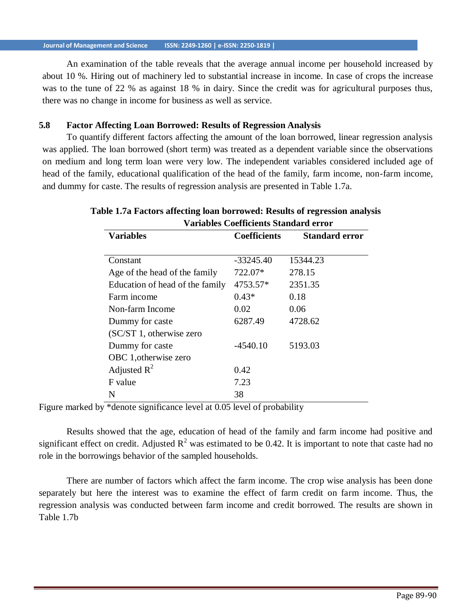An examination of the table reveals that the average annual income per household increased by about 10 %. Hiring out of machinery led to substantial increase in income. In case of crops the increase was to the tune of 22 % as against 18 % in dairy. Since the credit was for agricultural purposes thus, there was no change in income for business as well as service.

#### **5.8 Factor Affecting Loan Borrowed: Results of Regression Analysis**

To quantify different factors affecting the amount of the loan borrowed, linear regression analysis was applied. The loan borrowed (short term) was treated as a dependent variable since the observations on medium and long term loan were very low. The independent variables considered included age of head of the family, educational qualification of the head of the family, farm income, non-farm income, and dummy for caste. The results of regression analysis are presented in Table 1.7a.

| <b>Variables</b>                | <b>Coefficients</b> | <b>Standard error</b> |
|---------------------------------|---------------------|-----------------------|
|                                 |                     |                       |
| Constant                        | $-33245.40$         | 15344.23              |
| Age of the head of the family   | 722.07*             | 278.15                |
| Education of head of the family | 4753.57*            | 2351.35               |
| Farm income                     | $0.43*$             | 0.18                  |
| Non-farm Income                 | 0.02                | 0.06                  |
| Dummy for caste                 | 6287.49             | 4728.62               |
| (SC/ST 1, otherwise zero        |                     |                       |
| Dummy for caste                 | $-4540.10$          | 5193.03               |
| OBC 1, otherwise zero           |                     |                       |
| Adjusted $R^2$                  | 0.42                |                       |
| F value                         | 7.23                |                       |
| N                               | 38                  |                       |

# **Table 1.7a Factors affecting loan borrowed: Results of regression analysis Variables Coefficients Standard error**

Figure marked by \*denote significance level at 0.05 level of probability

Results showed that the age, education of head of the family and farm income had positive and significant effect on credit. Adjusted  $R^2$  was estimated to be 0.42. It is important to note that caste had no role in the borrowings behavior of the sampled households.

There are number of factors which affect the farm income. The crop wise analysis has been done separately but here the interest was to examine the effect of farm credit on farm income. Thus, the regression analysis was conducted between farm income and credit borrowed. The results are shown in Table 1.7b